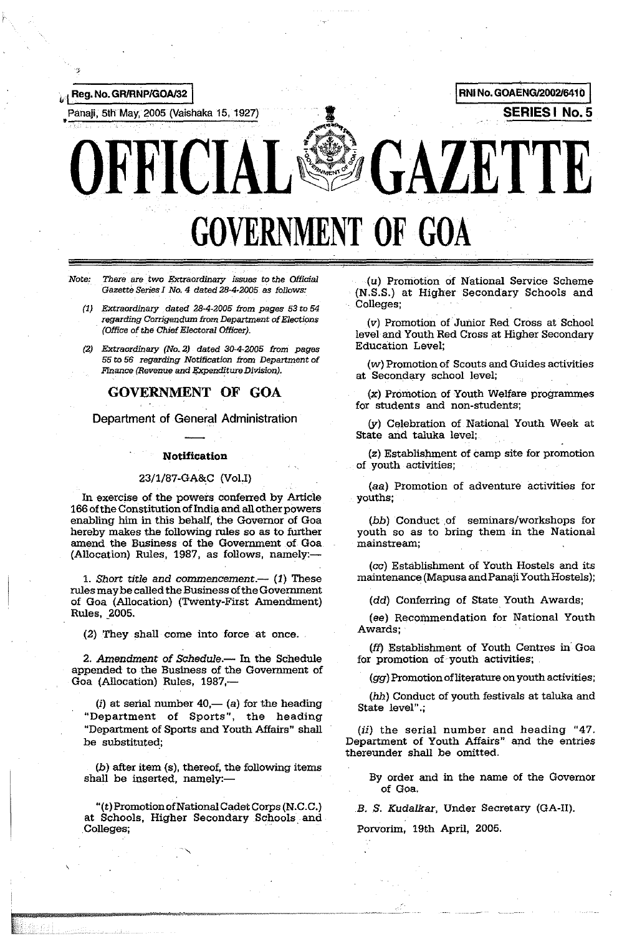

# GOVERNMENT OF **GOA**

'Note: *There* are *two Extraordinary issues to the* Official Gazette Series I No.4 dated 28·4·2005 as follows:

- (1) Extraordinary dated 28·4·2005 trom pages 53 to 54 regarding Corrigendum trom Department of Elections (Office of the Chief Electoral Officer).
- (2) Extraordinary (No.2) dated 30-4-2005 trom pages 55 to 56 regarding Notification from Department of Finance (Revenue and Expenditure Division).

## GOVERNMENT OF GOA

Department of General Administration

#### **Notification**

#### 23/1/87-GA&C (VaLl)

In exercise of the powers conferred by Article 166 of the Constitution ofIndia and all other powers enabling him in this behalf, the Governor of Goa hereby makes the following rules so as to further amend the Business of the Government of Goa (Allocation) Rules, 1987, as follows, namely:-

1. Short title and commencement.— $(1)$  These rules may be called the Business of the Government of Goa (Allocation) (Twenty-First Amendment) Rules, 2005.

(2) They shall come into force at once.

2. Amendment of Schedule.- In the Schedule appended to the Business of the Government of Goa (Allocation) Rules, 1987,-

(i) at serial number  $40$ ,— (a) for the heading "Department of Sports", the heading "Department of Sports and Youth Affairs" shall be substituted;

 $(b)$  after item  $(s)$ , thereof, the following items shall be inserted, namely:-

"(t) Promotion of National Cadet Corps (N.C. C.) at Schools, Higher Secondary Schools and Colleges; .

(u) Promotion of National Service Scheme (N.S.S.) at Higher Secondary Schools and Colleges;

(v) Promotion of Junior Red Cross at School level and Youth Red Cross at Higher Secondary Education Level;

(w) Promotion of Scouts and Guides activities at Secondary school level;

(x) Promotion of Youth Welfare programmes for students and non-students;

(y) Celebration of National Youth Week at State and taluka level;

(z) Establishment of camp site for promotion of youth activities;

(aa) Promotion of adventure activities for youths;

(bb) Conduct .of seminars/workshops for youth so as to bring them in the National mainstream;

(cc) Establishment of Youth Hostels and its maintenance (Mapusa andPanaji Youth Hostels);

(dd) Conferring of State. Youth Awards;

(ee) Recommendation for National Youth Awards; .

(ft) Establishment of Youth Centres in Goa for promotion of youth activities;

(gg) Promotion of literature on youth activities;

(hh) Conduct of youth festivals at taluka and State level".;

(ii) the serial number and heading "47. Department of Youth Affairs" and the entries thereunder shall be omitted.

By order and in the name of the Governor of Goa.

B. S. Kudalkar, Under Secretary (GA-II).

Porvorim, 19th April, 2005.